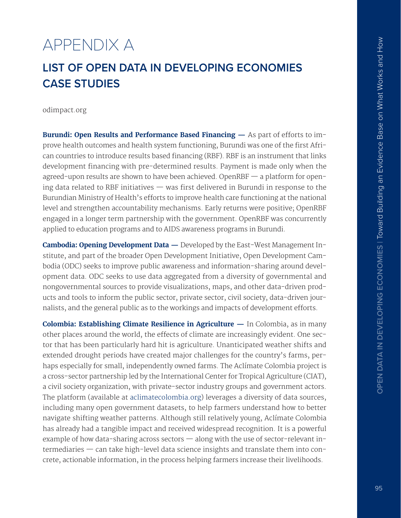# <span id="page-0-6"></span>APPENDIX A

# <span id="page-0-8"></span><span id="page-0-7"></span>**LIST OF OPEN DATA IN DEVELOPING ECONOMIES CASE STUDIES**

<span id="page-0-9"></span>odimpact.org

<span id="page-0-12"></span>**Burundi: Open Results and Performance Based Financing —** As part of efforts to improve health outcomes and health system functioning, Burundi was one of the first African countries to introduce results based fnancing (RBF). RBF is an instrument that links development financing with pre-determined results. Payment is made only when the agreed-upon results are shown to have been achieved. OpenRBF — a platform for opening data related to RBF initiatives  $-$  was first delivered in Burundi in response to the Burundian Ministry of Health's efforts to improve health care functioning at the national level and strengthen accountability mechanisms. Early returns were positive; OpenRBF engaged in a longer term partnership with the government. OpenRBF was concurrently applied to education programs and to AIDS awareness programs in Burundi.

**Cambodia: Opening Development Data —** Developed by the East-West Management Institute, and part of the broader Open Development Initiative, Open Development Cambodia (ODC) seeks to improve public awareness and information-sharing around development data. ODC seeks to use data aggregated from a diversity of governmental and nongovernmental sources to provide visualizations, maps, and other data-driven products and tools to inform the public sector, private sector, civil society, data-driven journalists, and the general public as to the workings and impacts of development efforts.

<span id="page-0-11"></span><span id="page-0-10"></span><span id="page-0-5"></span><span id="page-0-4"></span><span id="page-0-3"></span><span id="page-0-2"></span><span id="page-0-1"></span><span id="page-0-0"></span>**Colombia: Establishing Climate Resilience in Agriculture —** In Colombia, as in many other places around the world, the effects of climate are increasingly evident. One sector that has been particularly hard hit is agriculture. Unanticipated weather shifts and extended drought periods have created major challenges for the country's farms, perhaps especially for small, independently owned farms. The Aclímate Colombia project is a cross-sector partnership led by the International Center for Tropical Agriculture (CIAT), a civil society organization, with private-sector industry groups and government actors. The platform (available at [aclimatecolombia.org](http://aclimatecolombia.org)) leverages a diversity of data sources, including many open government datasets, to help farmers understand how to better navigate shifting weather patterns. Although still relatively young, Aclímate Colombia has already had a tangible impact and received widespread recognition. It is a powerful example of how data-sharing across sectors  $-$  along with the use of sector-relevant intermediaries — can take high-level data science insights and translate them into concrete, actionable information, in the process helping farmers increase their livelihoods.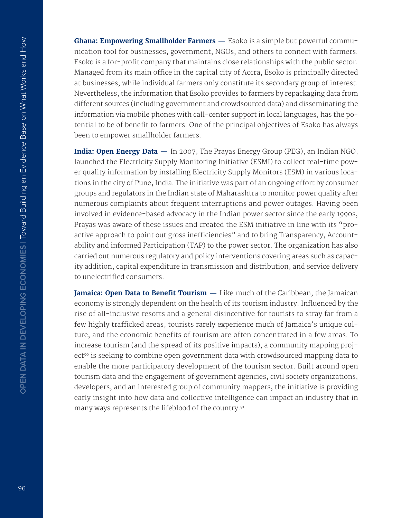**Ghana: Empowering Smallholder Farmers —** Esoko is a simple but powerful communication tool for businesses, government, NGOs, and others to connect with farmers. Esoko is a for-profit company that maintains close relationships with the public sector. Managed from its main office in the capital city of Accra, Esoko is principally directed at businesses, while individual farmers only constitute its secondary group of interest. Nevertheless, the information that Esoko provides to farmers by repackaging data from diferent sources (including government and crowdsourced data) and disseminating the information via mobile phones with call-center support in local languages, has the potential to be of benefit to farmers. One of the principal objectives of Esoko has always been to empower smallholder farmers.

**India: Open Energy Data —** In 2007, The Prayas Energy Group (PEG), an Indian NGO, launched the Electricity Supply Monitoring Initiative (ESMI) to collect real-time power quality information by installing Electricity Supply Monitors (ESM) in various locations in the city of Pune, India. The initiative was part of an ongoing effort by consumer groups and regulators in the Indian state of Maharashtra to monitor power quality after numerous complaints about frequent interruptions and power outages. Having been involved in evidence-based advocacy in the Indian power sector since the early 1990s, Prayas was aware of these issues and created the ESM initiative in line with its "proactive approach to point out gross inefficiencies" and to bring Transparency, Accountability and informed Participation (TAP) to the power sector. The organization has also carried out numerous regulatory and policy interventions covering areas such as capacity addition, capital expenditure in transmission and distribution, and service delivery to unelectrifed consumers.

Jamaica: Open Data to Benefit Tourism - Like much of the Caribbean, the Jamaican economy is strongly dependent on the health of its tourism industry. Infuenced by the rise of all-inclusive resorts and a general disincentive for tourists to stray far from a few highly trafficked areas, tourists rarely experience much of Jamaica's unique culture, and the economic benefits of tourism are often concentrated in a few areas. To increase tourism (and the spread of its positive impacts), a community mapping project<sup>90</sup> is seeking to combine open government data with crowdsourced mapping data to enable the more participatory development of the tourism sector. Built around open tourism data and the engagement of government agencies, civil society organizations, developers, and an interested group of community mappers, the initiative is providing early insight into how data and collective intelligence can impact an industry that in many ways represents the lifeblood of the country[.91](#page-0-1)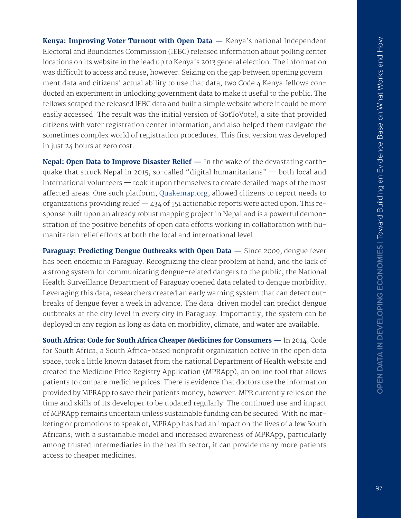**Kenya: Improving Voter Turnout with Open Data —** Kenya's national Independent Electoral and Boundaries Commission (IEBC) released information about polling center locations on its website in the lead up to Kenya's 2013 general election. The information was difficult to access and reuse, however. Seizing on the gap between opening government data and citizens' actual ability to use that data, two Code 4 Kenya fellows conducted an experiment in unlocking government data to make it useful to the public. The fellows scraped the released IEBC data and built a simple website where it could be more easily accessed. The result was the initial version of GotToVote!, a site that provided citizens with voter registration center information, and also helped them navigate the sometimes complex world of registration procedures. This first version was developed in just 24 hours at zero cost.

**Nepal: Open Data to Improve Disaster Relief —** In the wake of the devastating earthquake that struck Nepal in 2015, so-called "digital humanitarians" — both local and international volunteers — took it upon themselves to create detailed maps of the most afected areas. One such platform, [Quakemap.org](http://Quakemap.org), allowed citizens to report needs to organizations providing relief  $-$  434 of 551 actionable reports were acted upon. This response built upon an already robust mapping project in Nepal and is a powerful demonstration of the positive benefits of open data efforts working in collaboration with humanitarian relief efforts at both the local and international level.

**Paraguay: Predicting Dengue Outbreaks with Open Data —** Since 2009, dengue fever has been endemic in Paraguay. Recognizing the clear problem at hand, and the lack of a strong system for communicating dengue-related dangers to the public, the National Health Surveillance Department of Paraguay opened data related to dengue morbidity. Leveraging this data, researchers created an early warning system that can detect outbreaks of dengue fever a week in advance. The data-driven model can predict dengue outbreaks at the city level in every city in Paraguay. Importantly, the system can be deployed in any region as long as data on morbidity, climate, and water are available.

**South Africa: Code for South Africa Cheaper Medicines for Consumers —** In 2014, Code for South Africa, a South Africa-based nonprofit organization active in the open data space, took a little known dataset from the national Department of Health website and created the Medicine Price Registry Application (MPRApp), an online tool that allows patients to compare medicine prices. There is evidence that doctors use the information provided by MPRApp to save their patients money, however. MPR currently relies on the time and skills of its developer to be updated regularly. The continued use and impact of MPRApp remains uncertain unless sustainable funding can be secured. With no marketing or promotions to speak of, MPRApp has had an impact on the lives of a few South Africans; with a sustainable model and increased awareness of MPRApp, particularly among trusted intermediaries in the health sector, it can provide many more patients access to cheaper medicines.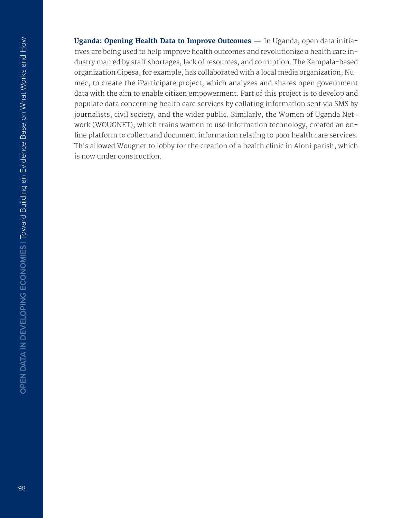**Uganda: Opening Health Data to Improve Outcomes —** In Uganda, open data initiatives are being used to help improve health outcomes and revolutionize a health care industry marred by staff shortages, lack of resources, and corruption. The Kampala-based organization Cipesa, for example, has collaborated with a local media organization, Numec, to create the iParticipate project, which analyzes and shares open government data with the aim to enable citizen empowerment. Part of this project is to develop and populate data concerning health care services by collating information sent via SMS by journalists, civil society, and the wider public. Similarly, the Women of Uganda Network (WOUGNET), which trains women to use information technology, created an online platform to collect and document information relating to poor health care services. This allowed Wougnet to lobby for the creation of a health clinic in Aloni parish, which is now under construction.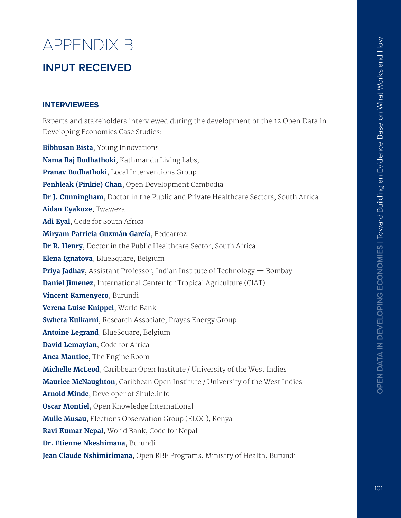# APPENDIX B **INPUT RECEIVED**

#### **INTERVIEWEES**

Experts and stakeholders interviewed during the development of the 12 Open Data in Developing Economies Case Studies:

**Bibhusan Bista**, Young Innovations **Nama Raj Budhathoki**, Kathmandu Living Labs, **Pranav Budhathoki**, Local Interventions Group **Penhleak (Pinkie) Chan**, Open Development Cambodia **Dr J. Cunningham**, Doctor in the Public and Private Healthcare Sectors, South Africa **Aidan Eyakuze**, Twaweza **Adi Eyal**, Code for South Africa **Miryam Patricia Guzmán García**, Fedearroz **Dr R. Henry**, Doctor in the Public Healthcare Sector, South Africa **Elena Ignatova**, BlueSquare, Belgium **Priya Jadhav**, Assistant Professor, Indian Institute of Technology — Bombay **Daniel Jimenez**, International Center for Tropical Agriculture (CIAT) **Vincent Kamenyero**, Burundi **Verena Luise Knippel**, World Bank **Swheta Kulkarni**, Research Associate, Prayas Energy Group **Antoine Legrand**, BlueSquare, Belgium **David Lemayian**, Code for Africa **Anca Mantioc**, The Engine Room **Michelle McLeod**, Caribbean Open Institute / University of the West Indies **Maurice McNaughton**, Caribbean Open Institute / University of the West Indies **Arnold Minde**, Developer of [Shule.info](http://Shule.info) **Oscar Montiel**, Open Knowledge International **Mulle Musau**, Elections Observation Group (ELOG), Kenya **Ravi Kumar Nepal**, World Bank, Code for Nepal **Dr. Etienne Nkeshimana**, Burundi **Jean Claude Nshimirimana**, Open RBF Programs, Ministry of Health, Burundi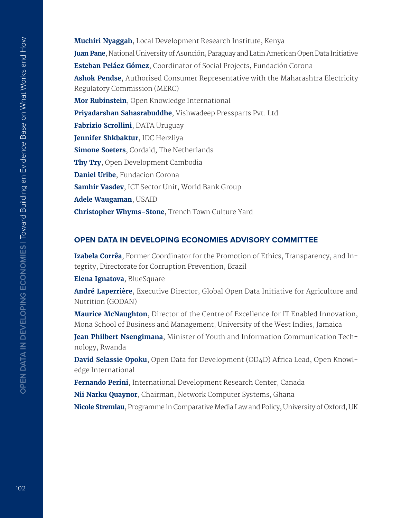**Muchiri Nyaggah**, Local Development Research Institute, Kenya **Juan Pane**, National University of Asunción, Paraguay and Latin American Open Data Initiative **Esteban Peláez Gómez**, Coordinator of Social Projects, Fundación Corona **Ashok Pendse**, Authorised Consumer Representative with the Maharashtra Electricity Regulatory Commission (MERC) **Mor Rubinstein**, Open Knowledge International **Priyadarshan Sahasrabuddhe**, Vishwadeep Pressparts Pvt. Ltd **Fabrizio Scrollini**, DATA Uruguay **Jennifer Shkbaktur**, IDC Herzliya **Simone Soeters**, Cordaid, The Netherlands **Thy Try**, Open Development Cambodia **Daniel Uribe**, Fundacion Corona **Samhir Vasdev**, ICT Sector Unit, World Bank Group **Adele Waugaman**, USAID **Christopher Whyms-Stone**, Trench Town Culture Yard

#### **OPEN DATA IN DEVELOPING ECONOMIES ADVISORY COMMITTEE**

**Izabela Corrêa**, Former Coordinator for the Promotion of Ethics, Transparency, and Integrity, Directorate for Corruption Prevention, Brazil

**Elena Ignatova**, BlueSquare

**André Laperrière**, Executive Director, Global Open Data Initiative for Agriculture and Nutrition (GODAN)

**Maurice McNaughton**, Director of the Centre of Excellence for IT Enabled Innovation, Mona School of Business and Management, University of the West Indies, Jamaica

**Jean Philbert Nsengimana**, Minister of Youth and Information Communication Technology, Rwanda

**David Selassie Opoku**, Open Data for Development (OD4D) Africa Lead, Open Knowledge International

**Fernando Perini**, International Development Research Center, Canada

**Nii Narku Quaynor**, Chairman, Network Computer Systems, Ghana

**Nicole Stremlau**, Programme in Comparative Media Law and Policy, University of Oxford, UK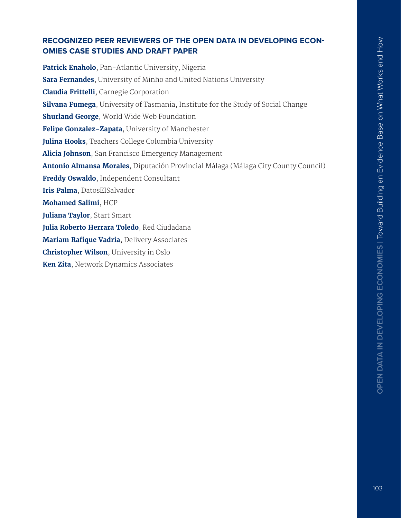## **RECOGNIZED PEER REVIEWERS OF THE OPEN DATA IN DEVELOPING ECON-OMIES CASE STUDIES AND DRAFT PAPER**

**Patrick Enaholo**, Pan-Atlantic University, Nigeria **Sara Fernandes**, University of Minho and United Nations University **Claudia Frittelli**, Carnegie Corporation **Silvana Fumega**, University of Tasmania, Institute for the Study of Social Change **Shurland George**, World Wide Web Foundation **Felipe Gonzalez-Zapata**, University of Manchester **Julina Hooks**, Teachers College Columbia University **Alicia Johnson**, San Francisco Emergency Management **Antonio Almansa Morales**, Diputación Provincial Málaga (Málaga City County Council) **Freddy Oswaldo**, Independent Consultant **Iris Palma**, DatosElSalvador **Mohamed Salimi**, HCP **Juliana Taylor**, Start Smart **Julia Roberto Herrara Toledo**, Red Ciudadana **Mariam Rafique Vadria, Delivery Associates Christopher Wilson**, University in Oslo **Ken Zita**, Network Dynamics Associates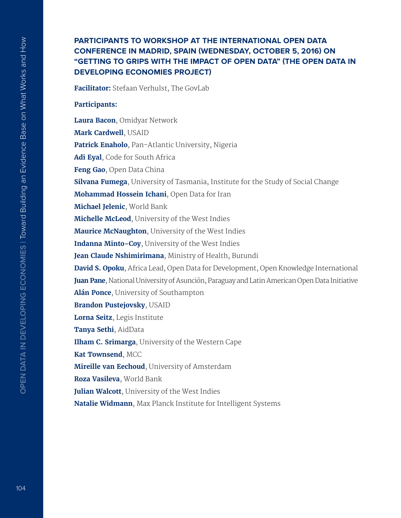### **PARTICIPANTS TO WORKSHOP AT THE INTERNATIONAL OPEN DATA CONFERENCE IN MADRID, SPAIN (WEDNESDAY, OCTOBER 5, 2016) ON "GETTING TO GRIPS WITH THE IMPACT OF OPEN DATA" (THE OPEN DATA IN DEVELOPING ECONOMIES PROJECT)**

**Facilitator:** Stefaan Verhulst, The GovLab

**Participants:**

**Laura Bacon**, Omidyar Network **Mark Cardwell**, USAID **Patrick Enaholo**, Pan-Atlantic University, Nigeria **Adi Eyal**, Code for South Africa **Feng Gao**, Open Data China **Silvana Fumega**, University of Tasmania, Institute for the Study of Social Change **Mohammad Hossein Ichani**, Open Data for Iran **Michael Jelenic**, World Bank **Michelle McLeod**, University of the West Indies **Maurice McNaughton**, University of the West Indies **Indanna Minto-Coy**, University of the West Indies **Jean Claude Nshimirimana**, Ministry of Health, Burundi **David S. Opoku**, Africa Lead, Open Data for Development, Open Knowledge International **Juan Pane**, National University of Asunción, Paraguay and Latin American Open Data Initiative **Alán Ponce**, University of Southampton **Brandon Pustejovsky**, USAID **Lorna Seitz**, Legis Institute **Tanya Sethi**, AidData **Ilham C. Srimarga**, University of the Western Cape **Kat Townsend**, MCC **Mireille van Eechoud**, University of Amsterdam **Roza Vasileva**, World Bank **Julian Walcott**, University of the West Indies **Natalie Widmann**, Max Planck Institute for Intelligent Systems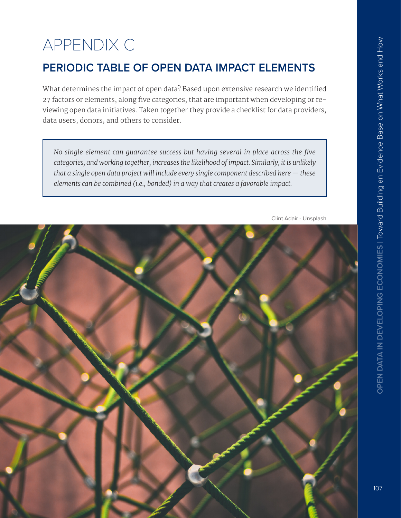# APPENDIX C

# **PERIODIC TABLE OF OPEN DATA IMPACT ELEMENTS**

What determines the impact of open data? Based upon extensive research we identifed 27 factors or elements, along five categories, that are important when developing or reviewing open data initiatives. Taken together they provide a checklist for data providers, data users, donors, and others to consider.

rategories, and working together, increases the likelihood of impact. Similarly, it is unlikely <u>restrience and</u> that a single open data project will include every single component described here  $-$  these  $\overline{\phantom{a}}$ **CONSIDER THE QUESTIONS INCLUDED FOR EACH ELEMENT.** *elements can be combined (i.e., bonded) in a way that creates a favorable impact. No single element can guarantee success but having several in place across the five* 



Clint Adair - Unsplash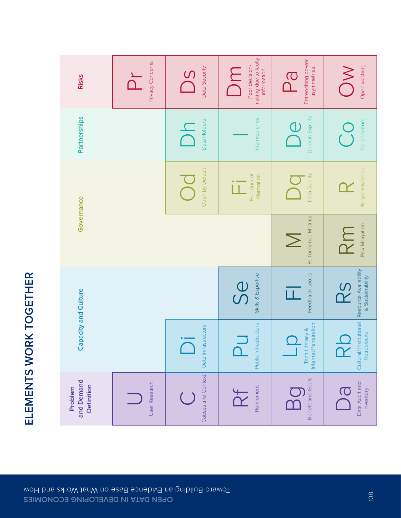

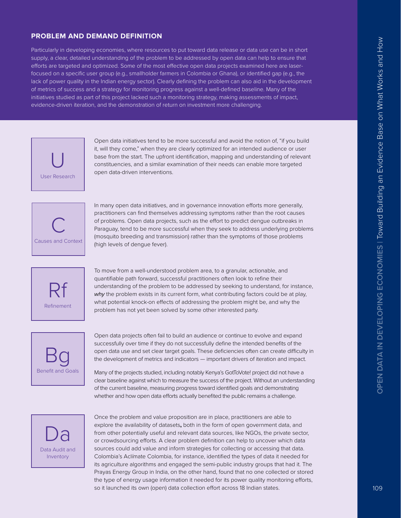#### **PROBLEM AND DEMAND DEFINITION**

Particularly in developing economies, where resources to put toward data release or data use can be in short supply, a clear, detailed understanding of the problem to be addressed by open data can help to ensure that eforts are targeted and optimized. Some of the most efective open data projects examined here are laserfocused on a specific user group (e.g., smallholder farmers in Colombia or Ghana), or identified gap (e.g., the lack of power quality in the Indian energy sector). Clearly defining the problem can also aid in the development of metrics of success and a strategy for monitoring progress against a well-defined baseline. Many of the initiatives studied as part of this project lacked such a monitoring strategy, making assessments of impact, evidence-driven iteration, and the demonstration of return on investment more challenging.



Open data initiatives tend to be more successful and avoid the notion of, "if you build it, will they come," when they are clearly optimized for an intended audience or user base from the start. The upfront identification, mapping and understanding of relevant constituencies, and a similar examination of their needs can enable more targeted open data-driven interventions.



In many open data initiatives, and in governance innovation efforts more generally, practitioners can find themselves addressing symptoms rather than the root causes of problems. Open data projects, such as the efort to predict dengue outbreaks in Paraguay, tend to be more successful when they seek to address underlying problems (mosquito breeding and transmission) rather than the symptoms of those problems (high levels of dengue fever).



To move from a well-understood problem area, to a granular, actionable, and quantifiable path forward, successful practitioners often look to refine their understanding of the problem to be addressed by seeking to understand, for instance, why the problem exists in its current form, what contributing factors could be at play, what potential knock-on effects of addressing the problem might be, and why the problem has not yet been solved by some other interested party.



Open data projects often fail to build an audience or continue to evolve and expand successfully over time if they do not successfully define the intended benefits of the open data use and set clear target goals. These deficiencies often can create difficulty in the development of metrics and indicators — important drivers of iteration and impact.

Many of the projects studied, including notably Kenya's GotToVote! project did not have a clear baseline against which to measure the success of the project. Without an understanding of the current baseline, measuring progress toward identified goals and demonstrating whether and how open data efforts actually benefited the public remains a challenge.



Once the problem and value proposition are in place, practitioners are able to explore the availability of datasets**,** both in the form of open government data, and from other potentially useful and relevant data sources, like NGOs, the private sector, or crowdsourcing eforts. A clear problem definition can help to uncover which data sources could add value and inform strategies for collecting or accessing that data. Colombia's Aclímate Colombia, for instance, identified the types of data it needed for its agriculture algorithms and engaged the semi-public industry groups that had it. The Prayas Energy Group in India, on the other hand, found that no one collected or stored the type of energy usage information it needed for its power quality monitoring eforts, so it launched its own (open) data collection effort across 18 Indian states.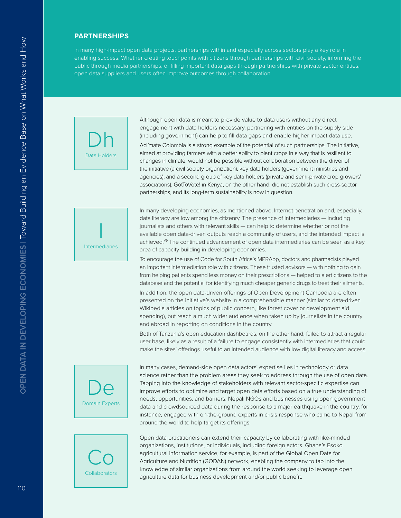#### **PARTNERSHIPS**

In many high-impact open data projects, partnerships within and especially across sectors play a key role in enabling success. Whether creating touchpoints with citizens through partnerships with civil society, informing the public through media partnerships, or filling important data gaps through partnerships with private sector entities, open data suppliers and users often improve outcomes through collaboration.



Although open data is meant to provide value to data users without any direct engagement with data holders necessary, partnering with entities on the supply side (including government) can help to fill data gaps and enable higher impact data use.

Aclímate Colombia is a strong example of the potential of such partnerships. The initiative, aimed at providing farmers with a better ability to plant crops in a way that is resilient to changes in climate, would not be possible without collaboration between the driver of the initiative (a civil society organization), key data holders (government ministries and agencies), and a second group of key data holders (private and semi-private crop growers' associations). GotToVote! in Kenya, on the other hand, did not establish such cross-sector partnerships, and its long-term sustainability is now in question.



In many developing economies, as mentioned above, Internet penetration and, especially, data literacy are low among the citizenry. The presence of intermediaries — including journalists and others with relevant skills — can help to determine whether or not the available open data-driven outputs reach a community of users, and the intended impact is achieved.*[49](#page-0-2)* The continued advancement of open data intermediaries can be seen as a key area of capacity building in developing economies.

To encourage the use of Code for South Africa's MPRApp, doctors and pharmacists played an important intermediation role with citizens. These trusted advisors — with nothing to gain from helping patients spend less money on their prescriptions — helped to alert citizens to the database and the potential for identifying much cheaper generic drugs to treat their ailments.

In addition, the open data-driven oferings of Open Development Cambodia are often presented on the initiative's website in a comprehensible manner (similar to data-driven Wikipedia articles on topics of public concern, like forest cover or development aid spending), but reach a much wider audience when taken up by journalists in the country and abroad in reporting on conditions in the country.

Both of Tanzania's open education dashboards, on the other hand, failed to attract a regular user base, likely as a result of a failure to engage consistently with intermediaries that could make the sites' offerings useful to an intended audience with low digital literacy and access.

In many cases, demand-side open data actors' expertise lies in technology or data science rather than the problem areas they seek to address through the use of open data. Tapping into the knowledge of stakeholders with relevant sector-specific expertise can improve eforts to optimize and target open data eforts based on a true understanding of needs, opportunities, and barriers. Nepali NGOs and businesses using open government data and crowdsourced data during the response to a major earthquake in the country, for instance, engaged with on-the-ground experts in crisis response who came to Nepal from around the world to help target its offerings.



De

Domain Experts

Open data practitioners can extend their capacity by collaborating with like-minded organizations, institutions, or individuals, including foreign actors. Ghana's Esoko agricultural information service, for example, is part of the Global Open Data for Agriculture and Nutrition (GODAN) network, enabling the company to tap into the knowledge of similar organizations from around the world seeking to leverage open agriculture data for business development and/or public benefit.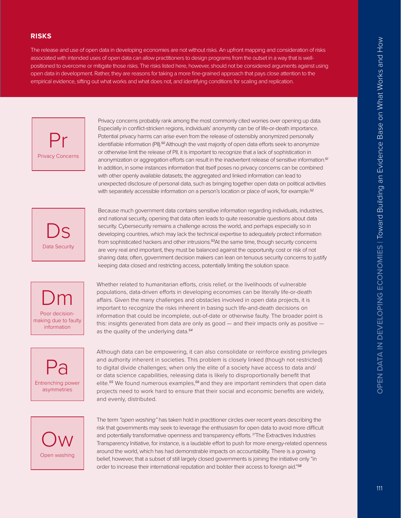#### **RISKS**

The release and use of open data in developing economies are not without risks. An upfront mapping and consideration of risks associated with intended uses of open data can allow practitioners to design programs from the outset in a way that is wellpositioned to overcome or mitigate those risks. The risks listed here, however, should not be considered arguments against using open data in development. Rather, they are reasons for taking a more fine-grained approach that pays close attention to the empirical evidence, sifting out what works and what does not, and identifying conditions for scaling and replication.



Privacy concerns probably rank among the most commonly cited worries over opening up data. Especially in conflict-stricken regions, individuals' anonymity can be of life-or-death importance. Potential privacy harms can arise even from the release of ostensibly anonymized personally identifiable information (PII).<sup>[50](#page-0-0)</sup> Although the vast majority of open data efforts seek to anonymize or otherwise limit the release of PII, it is important to recognize that a lack of sophistication in anonymization or aggregation eforts can result in the inadvertent release of sensitive information.*[51](#page-0-3)* In addition, in some instances information that itself poses no privacy concerns can be combined with other openly available datasets; the aggregated and linked information can lead to unexpected disclosure of personal data, such as bringing together open data on political activities with separately accessible information on a person's location or place of work, for example.*[52](#page-0-4)*



Because much government data contains sensitive information regarding individuals, industries, and national security, opening that data often leads to quite reasonable questions about data security. Cybersecurity remains a challenge across the world, and perhaps especially so in developing countries, which may lack the technical expertise to adequately protect information from sophisticated hackers and other intrusions.*[53](#page-0-10)*At the same time, though security concerns are very real and important, they must be balanced against the opportunity cost or risk of not sharing data; often, government decision makers can lean on tenuous security concerns to justify keeping data closed and restricting access, potentially limiting the solution space.



Whether related to humanitarian efforts, crisis relief, or the livelihoods of vulnerable populations, data-driven eforts in developing economies can be literally life-or-death afairs. Given the many challenges and obstacles involved in open data projects, it is important to recognize the risks inherent in basing such life-and-death decisions on information that could be incomplete, out-of-date or otherwise faulty. The broader point is this: insights generated from data are only as good — and their impacts only as positive as the quality of the underlying data.*[54](#page-0-5)*

Pa Entrenching power asymmetries

Although data can be empowering, it can also consolidate or reinforce existing privileges and authority inherent in societies. This problem is closely linked (though not restricted) to digital divide challenges; when only the elite of a society have access to data and/ or data science capabilities, releasing data is likely to disproportionally benefit that elite.*[55](#page-0-6)* We found numerous examples,*[56](#page-0-7)* and they are important reminders that open data projects need to work hard to ensure that their social and economic benefits are widely, and evenly, distributed.



The term *"open washing"* has taken hold in practitioner circles over recent years describing the risk that governments may seek to leverage the enthusiasm for open data to avoid more difficult and potentially transformative openness and transparency eforts. *[57](#page-0-8)*The Extractives Industries Transparency Initiative, for instance, is a laudable efort to push for more energy-related openness around the world, which has had demonstrable impacts on accountability. There is a growing belief, however, that a subset of still largely closed governments is joining the initiative only "in order to increase their international reputation and bolster their access to foreign aid."*[58](#page-0-9)*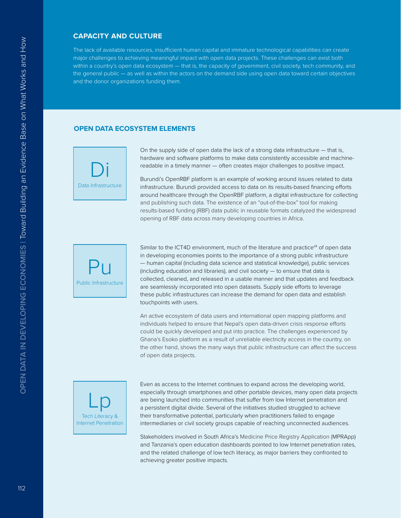#### **CAPACITY AND CULTURE**

The lack of available resources, insufficient human capital and immature technological capabilities can create major challenges to achieving meaningful impact with open data projects. These challenges can exist both within a country's open data ecosystem — that is, the capacity of government, civil society, tech community, and the general public — as well as within the actors on the demand side using open data toward certain objectives and the donor organizations funding them.

#### **OPEN DATA ECOSYSTEM ELEMENTS**



On the supply side of open data the lack of a strong data infrastructure — that is, hardware and software platforms to make data consistently accessible and machinereadable in a timely manner — often creates major challenges to positive impact.

Burundi's OpenRBF platform is an example of working around issues related to data infrastructure. Burundi provided access to data on its results-based financing eforts around healthcare through the OpenRBF platform, a digital infrastructure for collecting and publishing such data. The existence of an "out-of-the-box" tool for making results-based funding (RBF) data public in reusable formats catalyzed the widespread opening of RBF data across many developing countries in Africa.



Similar to the ICT4D environment, much of the literature and practice*[48](#page-0-11)* of open data in developing economies points to the importance of a strong public infrastructure — human capital (including data science and statistical knowledge), public services (including education and libraries), and civil society — to ensure that data is collected, cleaned, and released in a usable manner and that updates and feedback are seamlessly incorporated into open datasets. Supply side efforts to leverage these public infrastructures can increase the demand for open data and establish touchpoints with users.

An active ecosystem of data users and international open mapping platforms and individuals helped to ensure that Nepal's open data-driven crisis response efforts could be quickly developed and put into practice. The challenges experienced by Ghana's Esoko platform as a result of unreliable electricity access in the country, on the other hand, shows the many ways that public infrastructure can afect the success of open data projects.



Even as access to the Internet continues to expand across the developing world, especially through smartphones and other portable devices, many open data projects are being launched into communities that suffer from low Internet penetration and a persistent digital divide. Several of the initiatives studied struggled to achieve their transformative potential, particularly when practitioners failed to engage intermediaries or civil society groups capable of reaching unconnected audiences.

Stakeholders involved in South Africa's Medicine Price Registry Application (MPRApp) and Tanzania's open education dashboards pointed to low Internet penetration rates, and the related challenge of low tech literacy, as major barriers they confronted to achieving greater positive impacts.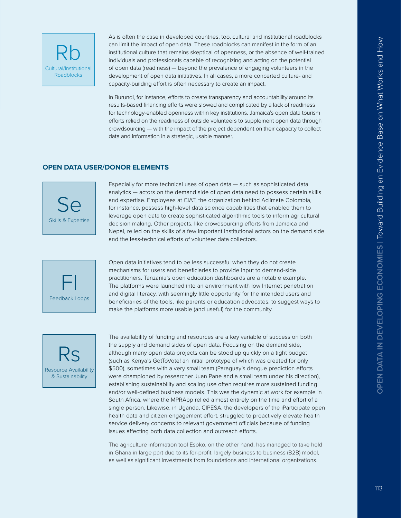As is often the case in developed countries, too, cultural and institutional roadblocks can limit the impact of open data. These roadblocks can manifest in the form of an institutional culture that remains skeptical of openness, or the absence of well-trained individuals and professionals capable of recognizing and acting on the potential of open data (readiness) — beyond the prevalence of engaging volunteers in the development of open data initiatives. In all cases, a more concerted culture- and capacity-building effort is often necessary to create an impact.

In Burundi, for instance, efforts to create transparency and accountability around its results-based financing efforts were slowed and complicated by a lack of readiness for technology-enabled openness within key institutions. Jamaica's open data tourism eforts relied on the readiness of outside volunteers to supplement open data through crowdsourcing — with the impact of the project dependent on their capacity to collect data and information in a strategic, usable manner.

#### **OPEN DATA USER/DONOR ELEMENTS**



Especially for more technical uses of open data — such as sophisticated data analytics — actors on the demand side of open data need to possess certain skills and expertise. Employees at CIAT, the organization behind Aclímate Colombia, for instance, possess high-level data science capabilities that enabled them to leverage open data to create sophisticated algorithmic tools to inform agricultural decision making. Other projects, like crowdsourcing efforts from Jamaica and Nepal, relied on the skills of a few important institutional actors on the demand side and the less-technical efforts of volunteer data collectors.



Open data initiatives tend to be less successful when they do not create mechanisms for users and beneficiaries to provide input to demand-side practitioners. Tanzania's open education dashboards are a notable example. The platforms were launched into an environment with low Internet penetration and digital literacy, with seemingly little opportunity for the intended users and beneficiaries of the tools, like parents or education advocates, to suggest ways to make the platforms more usable (and useful) for the community.



The availability of funding and resources are a key variable of success on both the supply and demand sides of open data. Focusing on the demand side, although many open data projects can be stood up quickly on a tight budget (such as Kenya's GotToVote! an initial prototype of which was created for only \$500), sometimes with a very small team (Paraguay's dengue prediction efforts were championed by researcher Juan Pane and a small team under his direction), establishing sustainability and scaling use often requires more sustained funding and/or well-defined business models. This was the dynamic at work for example in South Africa, where the MPRApp relied almost entirely on the time and effort of a single person. Likewise, in Uganda, CIPESA, the developers of the iParticipate open health data and citizen engagement efort, struggled to proactively elevate health service delivery concerns to relevant government officials because of funding issues affecting both data collection and outreach efforts.

The agriculture information tool Esoko, on the other hand, has managed to take hold in Ghana in large part due to its for-profit, largely business to business (B2B) model, as well as significant investments from foundations and international organizations.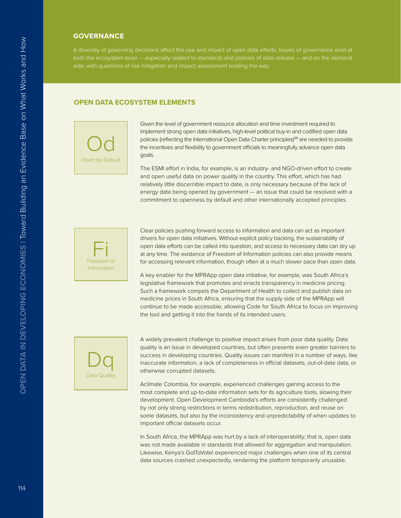#### **GOVERNANCE**

A diversity of governing decisions afect the use and impact of open data eforts. Issues of governance exist at side, with questions of risk mitigation and impact assessment leading the way.

#### **OPEN DATA ECOSYSTEM ELEMENTS**



Given the level of government resource allocation and time investment required to implement strong open data initiatives, high-level political buy-in and codified open data policies (reflecting the International Open Data Charter principles)*[59](#page-0-12)* are needed to provide the incentives and flexibility to government officials to meaningfully advance open data goals.

The ESMI effort in India, for example, is an industry- and NGO-driven effort to create and open useful data on power quality in the country. This effort, which has had relatively little discernible impact to date, is only necessary because of the lack of energy data being opened by government — an issue that could be resolved with a commitment to openness by default and other internationally accepted principles.



Clear policies pushing forward access to information and data can act as important drivers for open data initiatives. Without explicit policy backing, the sustainability of open data eforts can be called into question, and access to necessary data can dry up at any time. The existence of Freedom of Information policies can also provide means for accessing relevant information, though often at a much slower pace than open data.

A key enabler for the MPRApp open data initiative, for example, was South Africa's legislative framework that promotes and enacts transparency in medicine pricing. Such a framework compels the Department of Health to collect and publish data on medicine prices in South Africa, ensuring that the supply side of the MPRApp will continue to be made accessible, allowing Code for South Africa to focus on improving the tool and getting it into the hands of its intended users.



A widely prevalent challenge to positive impact arises from poor data quality. Data quality is an issue in developed countries, but often presents even greater barriers to success in developing countries. Quality issues can manifest in a number of ways, like inaccurate information, a lack of completeness in official datasets, out-of-date data, or otherwise corrupted datasets.

Aclímate Colombia, for example, experienced challenges gaining access to the most complete and up-to-date information sets for its agriculture tools, slowing their development. Open Development Cambodia's efforts are consistently challenged by not only strong restrictions in terms redistribution, reproduction, and reuse on some datasets, but also by the inconsistency and unpredictability of when updates to important official datasets occur.

In South Africa, the MPRApp was hurt by a lack of interoperability; that is, open data was not made available in standards that allowed for aggregation and manipulation. Likewise, Kenya's GotToVote! experienced major challenges when one of its central data sources crashed unexpectedly, rendering the platform temporarily unusable.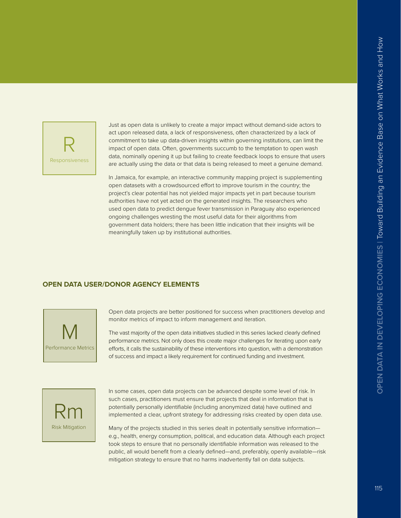

Just as open data is unlikely to create a major impact without demand-side actors to act upon released data, a lack of responsiveness, often characterized by a lack of commitment to take up data-driven insights within governing institutions, can limit the impact of open data. Often, governments succumb to the temptation to open wash data, nominally opening it up but failing to create feedback loops to ensure that users are actually using the data or that data is being released to meet a genuine demand.

In Jamaica, for example, an interactive community mapping project is supplementing open datasets with a crowdsourced effort to improve tourism in the country; the project's clear potential has not yielded major impacts yet in part because tourism authorities have not yet acted on the generated insights. The researchers who used open data to predict dengue fever transmission in Paraguay also experienced ongoing challenges wresting the most useful data for their algorithms from government data holders; there has been little indication that their insights will be meaningfully taken up by institutional authorities.

#### **OPEN DATA USER/DONOR AGENCY ELEMENTS**



Open data projects are better positioned for success when practitioners develop and monitor metrics of impact to inform management and iteration.

The vast majority of the open data initiatives studied in this series lacked clearly defined performance metrics. Not only does this create major challenges for iterating upon early eforts, it calls the sustainability of these interventions into question, with a demonstration of success and impact a likely requirement for continued funding and investment.



In some cases, open data projects can be advanced despite some level of risk. In such cases, practitioners must ensure that projects that deal in information that is potentially personally identifiable (including anonymized data) have outlined and implemented a clear, upfront strategy for addressing risks created by open data use.

Many of the projects studied in this series dealt in potentially sensitive information e.g., health, energy consumption, political, and education data. Although each project took steps to ensure that no personally identifiable information was released to the public, all would benefit from a clearly defined—and, preferably, openly available—risk mitigation strategy to ensure that no harms inadvertently fall on data subjects.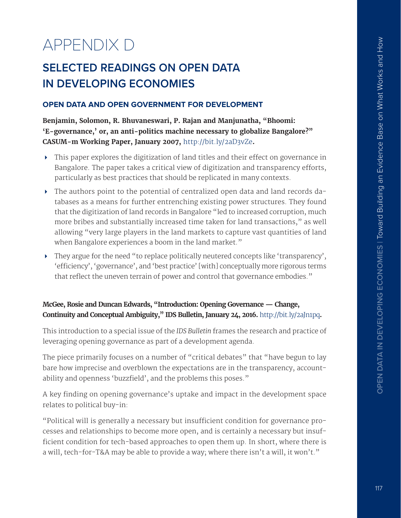# APPENDIX D

# **SELECTED READINGS ON OPEN DATA IN DEVELOPING ECONOMIES**

#### **OPEN DATA AND OPEN GOVERNMENT FOR DEVELOPMENT**

**Benjamin, Solomon, R. Bhuvaneswari, P. Rajan and Manjunatha, "Bhoomi: 'E-governance,' or, an anti-politics machine necessary to globalize Bangalore?" CASUM-m Working Paper, January 2007,** <http://bit.ly/2aD3vZe>**.**

- This paper explores the digitization of land titles and their effect on governance in Bangalore. The paper takes a critical view of digitization and transparency efforts, particularly as best practices that should be replicated in many contexts.
- The authors point to the potential of centralized open data and land records databases as a means for further entrenching existing power structures. They found that the digitization of land records in Bangalore "led to increased corruption, much more bribes and substantially increased time taken for land transactions," as well allowing "very large players in the land markets to capture vast quantities of land when Bangalore experiences a boom in the land market."
- They argue for the need "to replace politically neutered concepts like 'transparency', 'efficiency', 'governance', and 'best practice' [with] conceptually more rigorous terms that reflect the uneven terrain of power and control that governance embodies."

## **McGee, Rosie and Duncan Edwards, "Introduction: Opening Governance — Change, Continuity and Conceptual Ambiguity," IDS Bulletin, January 24, 2016.** <http://bit.ly/2aJn1pq>**.**

This introduction to a special issue of the *IDS Bulletin* frames the research and practice of leveraging opening governance as part of a development agenda.

The piece primarily focuses on a number of "critical debates" that "have begun to lay bare how imprecise and overblown the expectations are in the transparency, accountability and openness 'buzzfield', and the problems this poses."

A key finding on opening governance's uptake and impact in the development space relates to political buy-in:

"Political will is generally a necessary but insufficient condition for governance processes and relationships to become more open, and is certainly a necessary but insufficient condition for tech-based approaches to open them up. In short, where there is a will, tech-for-T&A may be able to provide a way; where there isn't a will, it won't."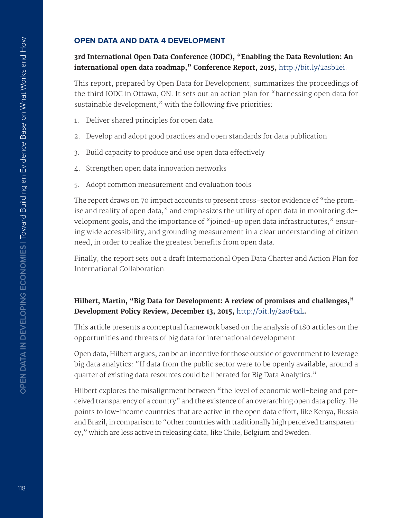#### **OPEN DATA AND DATA 4 DEVELOPMENT**

#### **3rd International Open Data Conference (IODC), "Enabling the Data Revolution: An international open data roadmap," Conference Report, 2015,** [http://bit.ly/2asb2ei.](http://bit.ly/2asb2ei)

This report, prepared by Open Data for Development, summarizes the proceedings of the third IODC in Ottawa, ON. It sets out an action plan for "harnessing open data for sustainable development," with the following five priorities:

- 1. Deliver shared principles for open data
- 2. Develop and adopt good practices and open standards for data publication
- 3. Build capacity to produce and use open data efectively
- 4. Strengthen open data innovation networks
- 5. Adopt common measurement and evaluation tools

The report draws on 70 impact accounts to present cross-sector evidence of "the promise and reality of open data," and emphasizes the utility of open data in monitoring development goals, and the importance of "joined-up open data infrastructures," ensuring wide accessibility, and grounding measurement in a clear understanding of citizen need, in order to realize the greatest benefits from open data.

Finally, the report sets out a draft International Open Data Charter and Action Plan for International Collaboration.

## **Hilbert, Martin, "Big Data for Development: A review of promises and challenges," Development Policy Review, December 13, 2015,** <http://bit.ly/2aoPtxL>**.**

This article presents a conceptual framework based on the analysis of 180 articles on the opportunities and threats of big data for international development.

Open data, Hilbert argues, can be an incentive for those outside of government to leverage big data analytics: "If data from the public sector were to be openly available, around a quarter of existing data resources could be liberated for Big Data Analytics."

Hilbert explores the misalignment between "the level of economic well-being and perceived transparency of a country" and the existence of an overarching open data policy. He points to low-income countries that are active in the open data effort, like Kenya, Russia and Brazil, in comparison to "other countries with traditionally high perceived transparency," which are less active in releasing data, like Chile, Belgium and Sweden.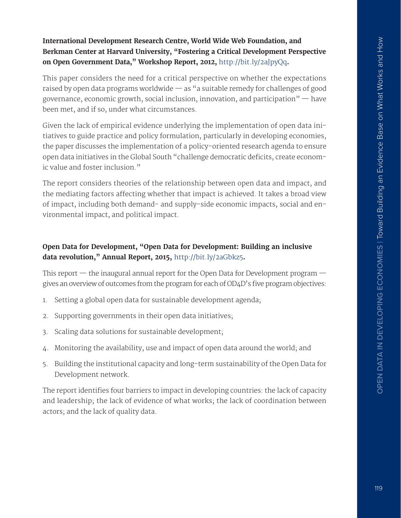#### **International Development Research Centre, World Wide Web Foundation, and Berkman Center at Harvard University, "Fostering a Critical Development Perspective on Open Government Data," Workshop Report, 2012,** <http://bit.ly/2aJpyQq>**.**

This paper considers the need for a critical perspective on whether the expectations raised by open data programs worldwide  $-$  as "a suitable remedy for challenges of good governance, economic growth, social inclusion, innovation, and participation $"$  – have been met, and if so, under what circumstances.

Given the lack of empirical evidence underlying the implementation of open data initiatives to guide practice and policy formulation, particularly in developing economies, the paper discusses the implementation of a policy-oriented research agenda to ensure open data initiatives in the Global South "challenge democratic deficits, create economic value and foster inclusion."

The report considers theories of the relationship between open data and impact, and the mediating factors affecting whether that impact is achieved. It takes a broad view of impact, including both demand- and supply-side economic impacts, social and environmental impact, and political impact.

## **Open Data for Development, "Open Data for Development: Building an inclusive data revolution," Annual Report, 2015,** <http://bit.ly/2aGbkz5>**.**

This report  $-$  the inaugural annual report for the Open Data for Development program  $$ gives an overview of outcomes from the program for each of OD4D's five program objectives:

- 1. Setting a global open data for sustainable development agenda;
- 2. Supporting governments in their open data initiatives;
- 3. Scaling data solutions for sustainable development;
- 4. Monitoring the availability, use and impact of open data around the world; and
- 5. Building the institutional capacity and long-term sustainability of the Open Data for Development network.

The report identifes four barriers to impact in developing countries: the lack of capacity and leadership; the lack of evidence of what works; the lack of coordination between actors; and the lack of quality data.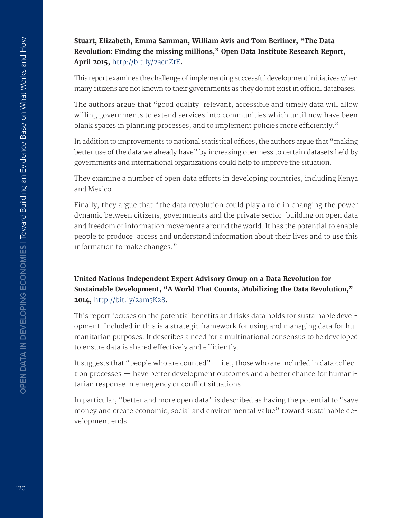**Stuart, Elizabeth, Emma Samman, William Avis and Tom Berliner, "The Data Revolution: Finding the missing millions," Open Data Institute Research Report, April 2015,** <http://bit.ly/2acnZtE>**.**

This report examines the challenge of implementing successful development initiatives when many citizens are not known to their governments as they do not exist in official databases.

The authors argue that "good quality, relevant, accessible and timely data will allow willing governments to extend services into communities which until now have been blank spaces in planning processes, and to implement policies more efficiently."

In addition to improvements to national statistical offices, the authors argue that "making better use of the data we already have" by increasing openness to certain datasets held by governments and international organizations could help to improve the situation.

They examine a number of open data efforts in developing countries, including Kenya and Mexico.

Finally, they argue that "the data revolution could play a role in changing the power dynamic between citizens, governments and the private sector, building on open data and freedom of information movements around the world. It has the potential to enable people to produce, access and understand information about their lives and to use this information to make changes."

## **United Nations Independent Expert Advisory Group on a Data Revolution for Sustainable Development, "A World That Counts, Mobilizing the Data Revolution," 2014,** <http://bit.ly/2am5K28>**.**

This report focuses on the potential benefits and risks data holds for sustainable development. Included in this is a strategic framework for using and managing data for humanitarian purposes. It describes a need for a multinational consensus to be developed to ensure data is shared effectively and efficiently.

It suggests that "people who are counted"  $-$  i.e., those who are included in data collection processes — have better development outcomes and a better chance for humanitarian response in emergency or confict situations.

In particular, "better and more open data" is described as having the potential to "save money and create economic, social and environmental value" toward sustainable development ends.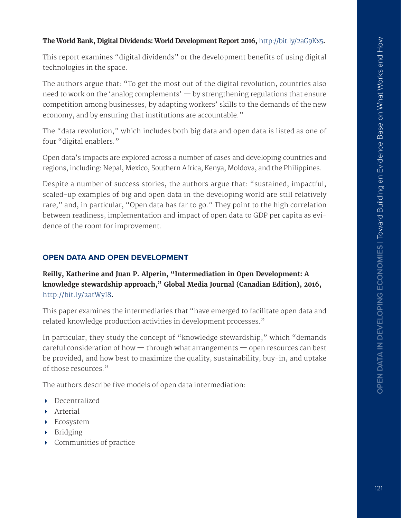#### **The World Bank, Digital Dividends: World Development Report 2016,** <http://bit.ly/2aG9Kx5>**.**

This report examines "digital dividends" or the development benefits of using digital technologies in the space.

The authors argue that: "To get the most out of the digital revolution, countries also need to work on the 'analog complements'  $-$  by strengthening regulations that ensure competition among businesses, by adapting workers' skills to the demands of the new economy, and by ensuring that institutions are accountable."

The "data revolution," which includes both big data and open data is listed as one of four "digital enablers."

Open data's impacts are explored across a number of cases and developing countries and regions, including: Nepal, Mexico, Southern Africa, Kenya, Moldova, and the Philippines.

Despite a number of success stories, the authors argue that: "sustained, impactful, scaled-up examples of big and open data in the developing world are still relatively rare," and, in particular, "Open data has far to go." They point to the high correlation between readiness, implementation and impact of open data to GDP per capita as evidence of the room for improvement.

#### **OPEN DATA AND OPEN DEVELOPMENT**

**Reilly, Katherine and Juan P. Alperin, "Intermediation in Open Development: A knowledge stewardship approach," Global Media Journal (Canadian Edition), 2016,**  <http://bit.ly/2atWyI8>**.**

This paper examines the intermediaries that "have emerged to facilitate open data and related knowledge production activities in development processes."

In particular, they study the concept of "knowledge stewardship," which "demands careful consideration of how — through what arrangements — open resources can best be provided, and how best to maximize the quality, sustainability, buy-in, and uptake of those resources."

The authors describe five models of open data intermediation:

- **Decentralized**
- Arterial
- Ecosystem
- Bridging
- Communities of practice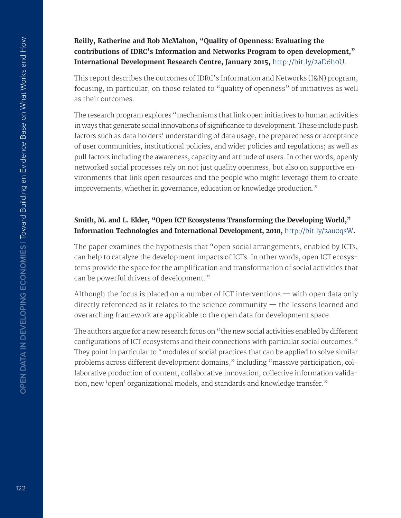**Reilly, Katherine and Rob McMahon, "Quality of Openness: Evaluating the contributions of IDRC's Information and Networks Program to open development," International Development Research Centre, January 2015,** <http://bit.ly/2aD6h0U>.

This report describes the outcomes of IDRC's Information and Networks (I&N) program, focusing, in particular, on those related to "quality of openness" of initiatives as well as their outcomes.

The research program explores "mechanisms that link open initiatives to human activities in ways that generate social innovations of significance to development. These include push factors such as data holders' understanding of data usage, the preparedness or acceptance of user communities, institutional policies, and wider policies and regulations; as well as pull factors including the awareness, capacity and attitude of users. In other words, openly networked social processes rely on not just quality openness, but also on supportive environments that link open resources and the people who might leverage them to create improvements, whether in governance, education or knowledge production."

#### **Smith, M. and L. Elder, "Open ICT Ecosystems Transforming the Developing World," Information Technologies and International Development, 2010,** <http://bit.ly/2au0qsW>**.**

The paper examines the hypothesis that "open social arrangements, enabled by ICTs, can help to catalyze the development impacts of ICTs. In other words, open ICT ecosystems provide the space for the amplification and transformation of social activities that can be powerful drivers of development."

Although the focus is placed on a number of ICT interventions — with open data only directly referenced as it relates to the science community — the lessons learned and overarching framework are applicable to the open data for development space.

The authors argue for a new research focus on "the new social activities enabled by diferent configurations of ICT ecosystems and their connections with particular social outcomes." They point in particular to "modules of social practices that can be applied to solve similar problems across different development domains," including "massive participation, collaborative production of content, collaborative innovation, collective information validation, new 'open' organizational models, and standards and knowledge transfer."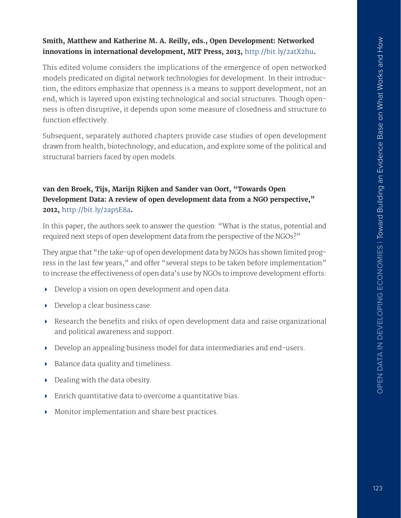#### **Smith, Matthew and Katherine M. A. Reilly, eds., Open Development: Networked innovations in international development, MIT Press, 2013,** <http://bit.ly/2atX2hu>**.**

This edited volume considers the implications of the emergence of open networked models predicated on digital network technologies for development. In their introduction, the editors emphasize that openness is a means to support development, not an end, which is layered upon existing technological and social structures. Though openness is often disruptive, it depends upon some measure of closedness and structure to function effectively.

Subsequent, separately authored chapters provide case studies of open development drawn from health, biotechnology, and education, and explore some of the political and structural barriers faced by open models.

## **van den Broek, Tijs, Marijn Rijken and Sander van Oort, "Towards Open Development Data: A review of open development data from a NGO perspective," 2012,** <http://bit.ly/2ap5E8a>**.**

In this paper, the authors seek to answer the question: "What is the status, potential and required next steps of open development data from the perspective of the NGOs?"

They argue that "the take-up of open development data by NGOs has shown limited progress in the last few years," and offer "several steps to be taken before implementation" to increase the effectiveness of open data's use by NGOs to improve development efforts:

- Develop a vision on open development and open data.
- Develop a clear business case.
- $\triangleright$  Research the benefits and risks of open development data and raise organizational and political awareness and support.
- Develop an appealing business model for data intermediaries and end-users.
- $\triangleright$  Balance data quality and timeliness.
- $\triangleright$  Dealing with the data obesity.
- Enrich quantitative data to overcome a quantitative bias.
- Monitor implementation and share best practices.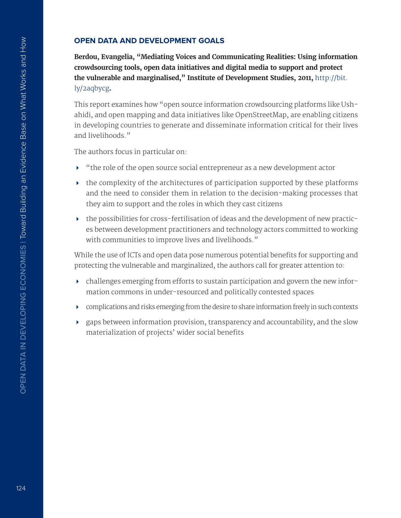#### **OPEN DATA AND DEVELOPMENT GOALS**

**Berdou, Evangelia, "Mediating Voices and Communicating Realities: Using information crowdsourcing tools, open data initiatives and digital media to support and protect the vulnerable and marginalised," Institute of Development Studies, 2011,** [http://bit.](http://bit.ly/2aqbycg) [ly/2aqbycg](http://bit.ly/2aqbycg)**.**

This report examines how "open source information crowdsourcing platforms like Ushahidi, and open mapping and data initiatives like OpenStreetMap, are enabling citizens in developing countries to generate and disseminate information critical for their lives and livelihoods."

The authors focus in particular on:

- "the role of the open source social entrepreneur as a new development actor
- $\triangleright$  the complexity of the architectures of participation supported by these platforms and the need to consider them in relation to the decision-making processes that they aim to support and the roles in which they cast citizens
- the possibilities for cross-fertilisation of ideas and the development of new practices between development practitioners and technology actors committed to working with communities to improve lives and livelihoods."

While the use of ICTs and open data pose numerous potential benefits for supporting and protecting the vulnerable and marginalized, the authors call for greater attention to:

- $\triangleright$  challenges emerging from efforts to sustain participation and govern the new information commons in under-resourced and politically contested spaces
- complications and risks emerging from the desire to share information freely in such contexts
- gaps between information provision, transparency and accountability, and the slow materialization of projects' wider social benefits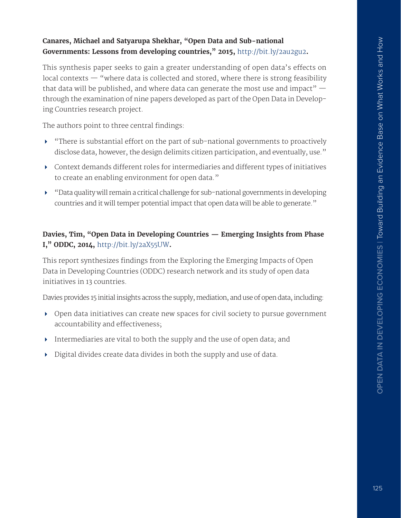#### **Canares, Michael and Satyarupa Shekhar, "Open Data and Sub-national Governments: Lessons from developing countries," 2015,** <http://bit.ly/2au2gu2>**.**

This synthesis paper seeks to gain a greater understanding of open data's effects on local contexts — "where data is collected and stored, where there is strong feasibility that data will be published, and where data can generate the most use and impact"  $$ through the examination of nine papers developed as part of the Open Data in Developing Countries research project.

The authors point to three central findings:

- $\blacktriangleright$  "There is substantial effort on the part of sub-national governments to proactively disclose data, however, the design delimits citizen participation, and eventually, use."
- Context demands diferent roles for intermediaries and diferent types of initiatives to create an enabling environment for open data."
- "Data quality will remain a critical challenge for sub-national governments in developing countries and it will temper potential impact that open data will be able to generate."

## **Davies, Tim, "Open Data in Developing Countries — Emerging Insights from Phase I," ODDC, 2014,** <http://bit.ly/2aX55UW>**.**

This report synthesizes fndings from the Exploring the Emerging Impacts of Open Data in Developing Countries (ODDC) research network and its study of open data initiatives in 13 countries.

Davies provides 15 initial insights across the supply, mediation, and use of open data, including:

- Open data initiatives can create new spaces for civil society to pursue government accountability and efectiveness;
- Intermediaries are vital to both the supply and the use of open data; and
- Digital divides create data divides in both the supply and use of data.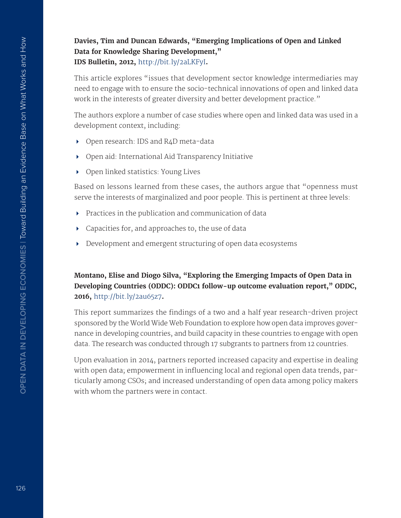**Davies, Tim and Duncan Edwards, "Emerging Implications of Open and Linked Data for Knowledge Sharing Development," IDS Bulletin, 2012,** <http://bit.ly/2aLKFyI>**.**

This article explores "issues that development sector knowledge intermediaries may need to engage with to ensure the socio-technical innovations of open and linked data work in the interests of greater diversity and better development practice."

The authors explore a number of case studies where open and linked data was used in a development context, including:

- ▶ Open research: IDS and R4D meta-data
- Open aid: International Aid Transparency Initiative
- ▶ Open linked statistics: Young Lives

Based on lessons learned from these cases, the authors argue that "openness must serve the interests of marginalized and poor people. This is pertinent at three levels:

- $\triangleright$  Practices in the publication and communication of data
- Capacities for, and approaches to, the use of data
- Development and emergent structuring of open data ecosystems

#### **Montano, Elise and Diogo Silva, "Exploring the Emerging Impacts of Open Data in Developing Countries (ODDC): ODDC1 follow-up outcome evaluation report," ODDC, 2016,** <http://bit.ly/2au65z7>**.**

This report summarizes the findings of a two and a half year research-driven project sponsored by the World Wide Web Foundation to explore how open data improves governance in developing countries, and build capacity in these countries to engage with open data. The research was conducted through 17 subgrants to partners from 12 countries.

Upon evaluation in 2014, partners reported increased capacity and expertise in dealing with open data; empowerment in infuencing local and regional open data trends, particularly among CSOs; and increased understanding of open data among policy makers with whom the partners were in contact.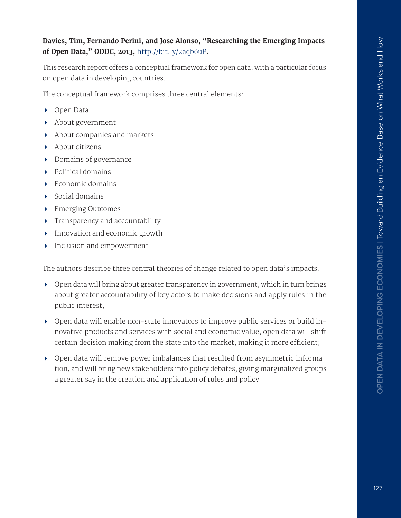#### **Davies, Tim, Fernando Perini, and Jose Alonso, "Researching the Emerging Impacts of Open Data," ODDC, 2013,** <http://bit.ly/2aqb6uP>**.**

This research report offers a conceptual framework for open data, with a particular focus on open data in developing countries.

The conceptual framework comprises three central elements:

- ▶ Open Data
- About government
- About companies and markets
- About citizens
- Domains of governance
- ▶ Political domains
- $\blacktriangleright$  Economic domains
- $\triangleright$  Social domains
- ▶ Emerging Outcomes
- **Figure 1** Transparency and accountability
- **Innovation and economic growth**
- **Inclusion and empowerment**

The authors describe three central theories of change related to open data's impacts:

- Open data will bring about greater transparency in government, which in turn brings about greater accountability of key actors to make decisions and apply rules in the public interest;
- Open data will enable non-state innovators to improve public services or build innovative products and services with social and economic value; open data will shift certain decision making from the state into the market, making it more efficient;
- Open data will remove power imbalances that resulted from asymmetric information, and will bring new stakeholders into policy debates, giving marginalized groups a greater say in the creation and application of rules and policy.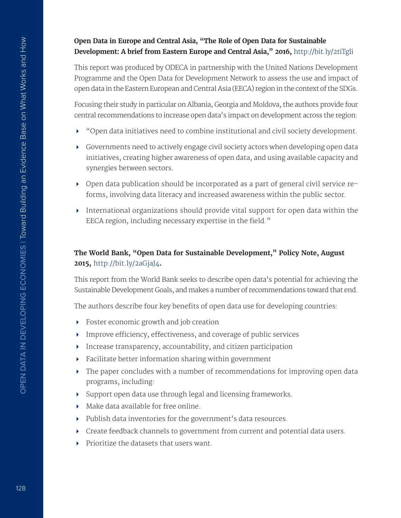#### **Open Data in Europe and Central Asia, "The Role of Open Data for Sustainable Development: A brief from Eastern Europe and Central Asia," 2016,** [http://](http://www.odecanet.org/wp-content/uploads/2016/06/ECA-Open-Data-Results.pdf)bit.ly/2tiTgli

This report was produced by ODECA in partnership with the United Nations Development Programme and the Open Data for Development Network to assess the use and impact of open data in the Eastern European and Central Asia (EECA) region in the context of the SDGs.

Focusing their study in particular on Albania, Georgia and Moldova, the authors provide four central recommendations to increase open data's impact on development across the region:

- "Open data initiatives need to combine institutional and civil society development.
- Governments need to actively engage civil society actors when developing open data initiatives, creating higher awareness of open data, and using available capacity and synergies between sectors.
- Open data publication should be incorporated as a part of general civil service reforms, involving data literacy and increased awareness within the public sector.
- International organizations should provide vital support for open data within the EECA region, including necessary expertise in the field."

#### **The World Bank, "Open Data for Sustainable Development," Policy Note, August 2015,** <http://bit.ly/2aGjaJ4>**.**

This report from the World Bank seeks to describe open data's potential for achieving the Sustainable Development Goals, and makes a number of recommendations toward that end.

The authors describe four key benefts of open data use for developing countries:

- Foster economic growth and job creation
- $\triangleright$  Improve efficiency, effectiveness, and coverage of public services
- Increase transparency, accountability, and citizen participation
- Facilitate better information sharing within government
- $\triangleright$  The paper concludes with a number of recommendations for improving open data programs, including:
- Support open data use through legal and licensing frameworks.
- Make data available for free online.
- Publish data inventories for the government's data resources.
- Create feedback channels to government from current and potential data users.
- Prioritize the datasets that users want.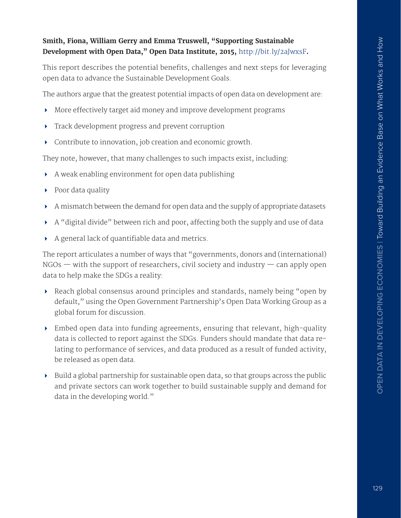#### **Smith, Fiona, William Gerry and Emma Truswell, "Supporting Sustainable Development with Open Data," Open Data Institute, 2015,** <http://bit.ly/2aJwxsF>**.**

This report describes the potential benefits, challenges and next steps for leveraging open data to advance the Sustainable Development Goals.

The authors argue that the greatest potential impacts of open data on development are:

- More efectively target aid money and improve development programs
- **Track development progress and prevent corruption**
- Contribute to innovation, job creation and economic growth.

They note, however, that many challenges to such impacts exist, including:

- A weak enabling environment for open data publishing
- ▶ Poor data quality
- A mismatch between the demand for open data and the supply of appropriate datasets
- A "digital divide" between rich and poor, afecting both the supply and use of data
- A general lack of quantifable data and metrics.

The report articulates a number of ways that "governments, donors and (international)  $NGOs$  — with the support of researchers, civil society and industry — can apply open data to help make the SDGs a reality:

- Reach global consensus around principles and standards, namely being "open by default," using the Open Government Partnership's Open Data Working Group as a global forum for discussion.
- Embed open data into funding agreements, ensuring that relevant, high-quality data is collected to report against the SDGs. Funders should mandate that data relating to performance of services, and data produced as a result of funded activity, be released as open data.
- $\triangleright$  Build a global partnership for sustainable open data, so that groups across the public and private sectors can work together to build sustainable supply and demand for data in the developing world."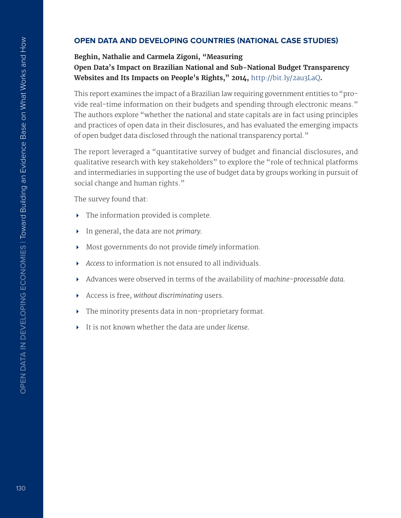#### **OPEN DATA AND DEVELOPING COUNTRIES (NATIONAL CASE STUDIES)**

#### **Beghin, Nathalie and Carmela Zigoni, "Measuring Open Data's Impact on Brazilian National and Sub-National Budget Transparency Websites and Its Impacts on People's Rights," 2014,** <http://bit.ly/2au3LaQ>**.**

This report examines the impact of a Brazilian law requiring government entities to "provide real-time information on their budgets and spending through electronic means." The authors explore "whether the national and state capitals are in fact using principles and practices of open data in their disclosures, and has evaluated the emerging impacts of open budget data disclosed through the national transparency portal."

The report leveraged a "quantitative survey of budget and financial disclosures, and qualitative research with key stakeholders" to explore the "role of technical platforms and intermediaries in supporting the use of budget data by groups working in pursuit of social change and human rights."

The survey found that:

- The information provided is complete.
- In general, the data are not *primary.*
- Most governments do not provide *timely* information.
- *Access* to information is not ensured to all individuals.
- Advances were observed in terms of the availability of *machine-processable data.*
- Access is free, *without discriminating* users.
- The minority presents data in non-proprietary format.
- It is not known whether the data are under *license.*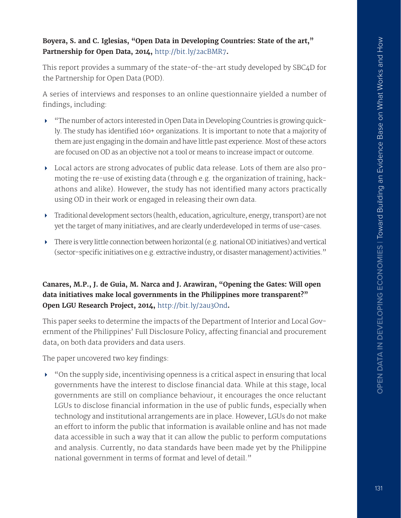#### **Boyera, S. and C. Iglesias, "Open Data in Developing Countries: State of the art," Partnership for Open Data, 2014,** <http://bit.ly/2acBMR7>**.**

This report provides a summary of the state-of-the-art study developed by SBC4D for the Partnership for Open Data (POD).

A series of interviews and responses to an online questionnaire yielded a number of findings, including:

- "The number of actors interested in Open Data in Developing Countries is growing quickly. The study has identifed 160+ organizations. It is important to note that a majority of them are just engaging in the domain and have little past experience. Most of these actors are focused on OD as an objective not a tool or means to increase impact or outcome.
- Local actors are strong advocates of public data release. Lots of them are also promoting the re-use of existing data (through e.g. the organization of training, hackathons and alike). However, the study has not identifed many actors practically using OD in their work or engaged in releasing their own data.
- Traditional development sectors (health, education, agriculture, energy, transport) are not yet the target of many initiatives, and are clearly underdeveloped in terms of use-cases.
- There is very little connection between horizontal (e.g. national OD initiatives) and vertical (sector-specifc initiatives on e.g. extractive industry, or disaster management) activities."

#### **Canares, M.P., J. de Guia, M. Narca and J. Arawiran, "Opening the Gates: Will open data initiatives make local governments in the Philippines more transparent?" Open LGU Research Project, 2014,** <http://bit.ly/2au3Ond>**.**

This paper seeks to determine the impacts of the Department of Interior and Local Government of the Philippines' Full Disclosure Policy, affecting financial and procurement data, on both data providers and data users.

The paper uncovered two key findings:

 "On the supply side, incentivising openness is a critical aspect in ensuring that local governments have the interest to disclose fnancial data. While at this stage, local governments are still on compliance behaviour, it encourages the once reluctant LGUs to disclose fnancial information in the use of public funds, especially when technology and institutional arrangements are in place. However, LGUs do not make an efort to inform the public that information is available online and has not made data accessible in such a way that it can allow the public to perform computations and analysis. Currently, no data standards have been made yet by the Philippine national government in terms of format and level of detail."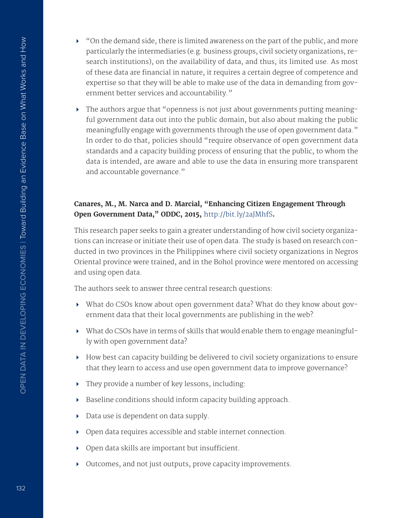- $\triangleright$  "On the demand side, there is limited awareness on the part of the public, and more particularly the intermediaries (e.g. business groups, civil society organizations, research institutions), on the availability of data, and thus, its limited use. As most of these data are fnancial in nature, it requires a certain degree of competence and expertise so that they will be able to make use of the data in demanding from government better services and accountability."
- The authors argue that "openness is not just about governments putting meaningful government data out into the public domain, but also about making the public meaningfully engage with governments through the use of open government data." In order to do that, policies should "require observance of open government data standards and a capacity building process of ensuring that the public, to whom the data is intended, are aware and able to use the data in ensuring more transparent and accountable governance."

#### **Canares, M., M. Narca and D. Marcial, "Enhancing Citizen Engagement Through Open Government Data," ODDC, 2015,** <http://bit.ly/2aJMhfS>**.**

This research paper seeks to gain a greater understanding of how civil society organizations can increase or initiate their use of open data. The study is based on research conducted in two provinces in the Philippines where civil society organizations in Negros Oriental province were trained, and in the Bohol province were mentored on accessing and using open data.

The authors seek to answer three central research questions:

- What do CSOs know about open government data? What do they know about government data that their local governments are publishing in the web?
- What do CSOs have in terms of skills that would enable them to engage meaningfully with open government data?
- How best can capacity building be delivered to civil society organizations to ensure that they learn to access and use open government data to improve governance?
- They provide a number of key lessons, including:
- $\triangleright$  Baseline conditions should inform capacity building approach.
- Data use is dependent on data supply.
- Open data requires accessible and stable internet connection.
- $\rightarrow$  Open data skills are important but insufficient.
- Outcomes, and not just outputs, prove capacity improvements.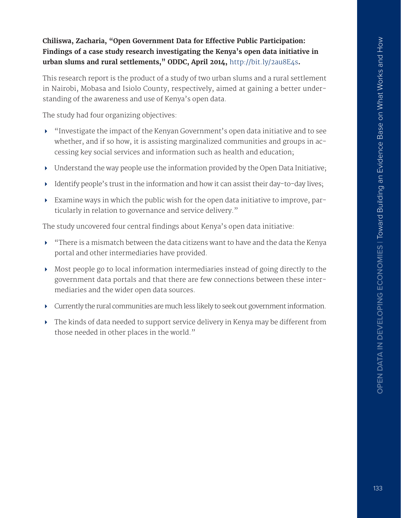#### **Chiliswa, Zacharia, "Open Government Data for Efective Public Participation: Findings of a case study research investigating the Kenya's open data initiative in urban slums and rural settlements," ODDC, April 2014,** <http://bit.ly/2au8E4s>**.**

This research report is the product of a study of two urban slums and a rural settlement in Nairobi, Mobasa and Isiolo County, respectively, aimed at gaining a better understanding of the awareness and use of Kenya's open data.

The study had four organizing objectives:

- "Investigate the impact of the Kenyan Government's open data initiative and to see whether, and if so how, it is assisting marginalized communities and groups in accessing key social services and information such as health and education;
- Understand the way people use the information provided by the Open Data Initiative;
- $\blacktriangleright$  Identify people's trust in the information and how it can assist their day-to-day lives;
- Examine ways in which the public wish for the open data initiative to improve, particularly in relation to governance and service delivery."

The study uncovered four central findings about Kenya's open data initiative:

- "There is a mismatch between the data citizens want to have and the data the Kenya portal and other intermediaries have provided.
- Most people go to local information intermediaries instead of going directly to the government data portals and that there are few connections between these intermediaries and the wider open data sources.
- Currently the rural communities are much less likely to seek out government information.
- The kinds of data needed to support service delivery in Kenya may be diferent from those needed in other places in the world."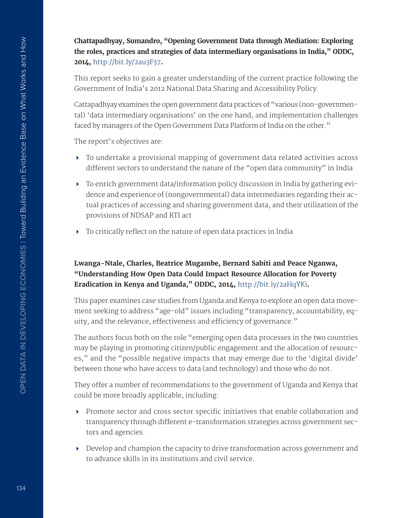**Chattapadhyay, Sumandro, "Opening Government Data through Mediation: Exploring the roles, practices and strategies of data intermediary organisations in India," ODDC, 2014,** <http://bit.ly/2au3F37>**.**

This report seeks to gain a greater understanding of the current practice following the Government of India's 2012 National Data Sharing and Accessibility Policy.

Cattapadhyay examines the open government data practices of "various (non-governmental) 'data intermediary organisations' on the one hand, and implementation challenges faced by managers of the Open Government Data Platform of India on the other."

The report's objectives are:

- To undertake a provisional mapping of government data related activities across diferent sectors to understand the nature of the "open data community" in India
- To enrich government data/information policy discussion in India by gathering evidence and experience of (nongovernmental) data intermediaries regarding their actual practices of accessing and sharing government data, and their utilization of the provisions of NDSAP and RTI act
- $\triangleright$  To critically reflect on the nature of open data practices in India

## **Lwanga-Ntale, Charles, Beatrice Mugambe, Bernard Sabiti and Peace Nganwa, "Understanding How Open Data Could Impact Resource Allocation for Poverty Eradication in Kenya and Uganda," ODDC, 2014,** <http://bit.ly/2aHqYKi>**.**

This paper examines case studies from Uganda and Kenya to explore an open data movement seeking to address "age-old" issues including "transparency, accountability, equity, and the relevance, effectiveness and efficiency of governance."

The authors focus both on the role "emerging open data processes in the two countries may be playing in promoting citizen/public engagement and the allocation of resources," and the "possible negative impacts that may emerge due to the 'digital divide' between those who have access to data (and technology) and those who do not.

They offer a number of recommendations to the government of Uganda and Kenya that could be more broadly applicable, including:

- $\triangleright$  Promote sector and cross sector specific initiatives that enable collaboration and transparency through diferent e-transformation strategies across government sectors and agencies.
- Develop and champion the capacity to drive transformation across government and to advance skills in its institutions and civil service.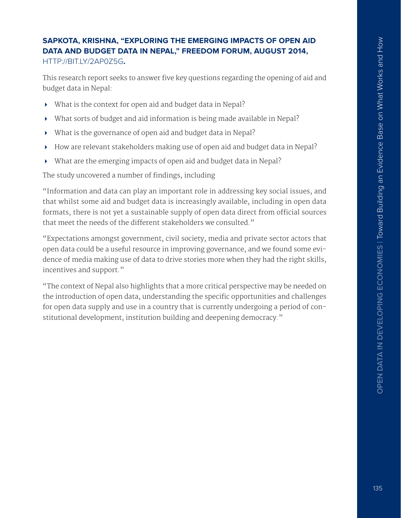## **SAPKOTA, KRISHNA, "EXPLORING THE EMERGING IMPACTS OF OPEN AID DATA AND BUDGET DATA IN NEPAL," FREEDOM FORUM, AUGUST 2014,**  [HTTP://BIT.LY/2AP0Z5G](http://bit.ly/2ap0z5G)**.**

This research report seeks to answer five key questions regarding the opening of aid and budget data in Nepal:

- What is the context for open aid and budget data in Nepal?
- What sorts of budget and aid information is being made available in Nepal?
- What is the governance of open aid and budget data in Nepal?
- How are relevant stakeholders making use of open aid and budget data in Nepal?
- What are the emerging impacts of open aid and budget data in Nepal?

The study uncovered a number of findings, including

"Information and data can play an important role in addressing key social issues, and that whilst some aid and budget data is increasingly available, including in open data formats, there is not yet a sustainable supply of open data direct from official sources that meet the needs of the diferent stakeholders we consulted."

"Expectations amongst government, civil society, media and private sector actors that open data could be a useful resource in improving governance, and we found some evidence of media making use of data to drive stories more when they had the right skills, incentives and support."

"The context of Nepal also highlights that a more critical perspective may be needed on the introduction of open data, understanding the specific opportunities and challenges for open data supply and use in a country that is currently undergoing a period of constitutional development, institution building and deepening democracy."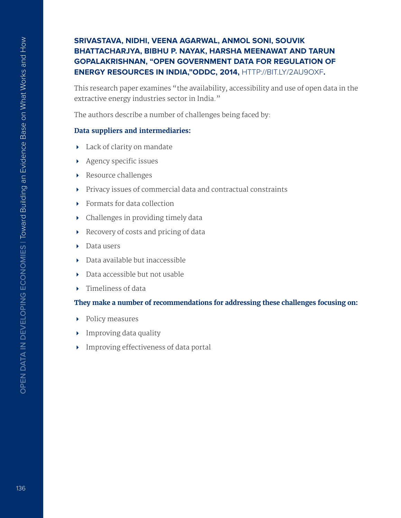#### **SRIVASTAVA, NIDHI, VEENA AGARWAL, ANMOL SONI, SOUVIK BHATTACHARJYA, BIBHU P. NAYAK, HARSHA MEENAWAT AND TARUN GOPALAKRISHNAN, "OPEN GOVERNMENT DATA FOR REGULATION OF ENERGY RESOURCES IN INDIA,"ODDC, 2014,** [HTTP://BIT.LY/2AU9OXF](http://bit.ly/2au9oXf)**.**

This research paper examines "the availability, accessibility and use of open data in the extractive energy industries sector in India."

The authors describe a number of challenges being faced by:

#### **Data suppliers and intermediaries:**

- Lack of clarity on mandate
- $\rightarrow$  Agency specific issues
- Resource challenges
- Privacy issues of commercial data and contractual constraints
- **Formats for data collection**
- Challenges in providing timely data
- Recovery of costs and pricing of data
- ▶ Data users
- Data available but inaccessible
- Data accessible but not usable
- ▶ Timeliness of data

#### **They make a number of recommendations for addressing these challenges focusing on:**

- Policy measures
- **Improving data quality**
- **Improving effectiveness of data portal**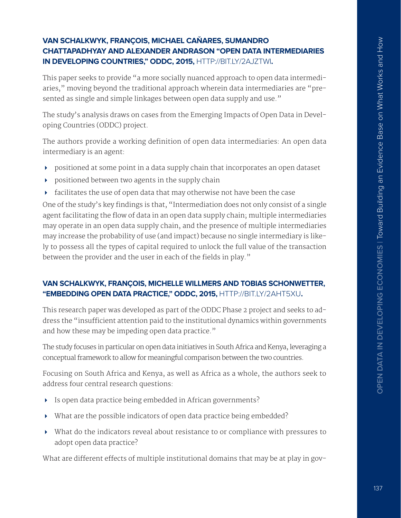#### **VAN SCHALKWYK, FRANÇOIS, MICHAEL CAŇARES, SUMANDRO CHATTAPADHYAY AND ALEXANDER ANDRASON "OPEN DATA INTERMEDIARIES IN DEVELOPING COUNTRIES," ODDC, 2015,** [HTTP://BIT.LY/2AJZTWI](http://bit.ly/2aJztWi)**.**

This paper seeks to provide "a more socially nuanced approach to open data intermediaries," moving beyond the traditional approach wherein data intermediaries are "presented as single and simple linkages between open data supply and use."

The study's analysis draws on cases from the Emerging Impacts of Open Data in Developing Countries (ODDC) project.

The authors provide a working defnition of open data intermediaries: An open data intermediary is an agent:

- positioned at some point in a data supply chain that incorporates an open dataset
- **positioned between two agents in the supply chain**
- facilitates the use of open data that may otherwise not have been the case

One of the study's key findings is that, "Intermediation does not only consist of a single agent facilitating the flow of data in an open data supply chain; multiple intermediaries may operate in an open data supply chain, and the presence of multiple intermediaries may increase the probability of use (and impact) because no single intermediary is likely to possess all the types of capital required to unlock the full value of the transaction between the provider and the user in each of the fields in play."

#### **VAN SCHALKWYK, FRANÇOIS, MICHELLE WILLMERS AND TOBIAS SCHONWETTER, "EMBEDDING OPEN DATA PRACTICE," ODDC, 2015,** [HTTP://BIT.LY/2AHT5XU](http://bit.ly/2aHt5xu)**.**

This research paper was developed as part of the ODDC Phase 2 project and seeks to address the "insufficient attention paid to the institutional dynamics within governments and how these may be impeding open data practice."

The study focuses in particular on open data initiatives in South Africa and Kenya, leveraging a conceptual framework to allow for meaningful comparison between the two countries.

Focusing on South Africa and Kenya, as well as Africa as a whole, the authors seek to address four central research questions:

- Is open data practice being embedded in African governments?
- What are the possible indicators of open data practice being embedded?
- What do the indicators reveal about resistance to or compliance with pressures to adopt open data practice?

What are different effects of multiple institutional domains that may be at play in gov-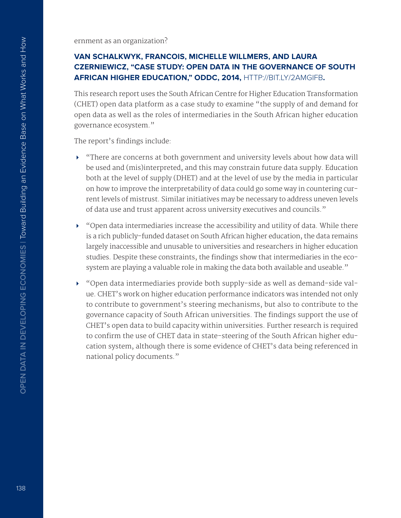ernment as an organization?

## **VAN SCHALKWYK, FRANCOIS, MICHELLE WILLMERS, AND LAURA CZERNIEWICZ, "CASE STUDY: OPEN DATA IN THE GOVERNANCE OF SOUTH AFRICAN HIGHER EDUCATION," ODDC, 2014,** [HTTP://BIT.LY/2AMGIFB](http://bit.ly/2amgIFb)**.**

This research report uses the South African Centre for Higher Education Transformation (CHET) open data platform as a case study to examine "the supply of and demand for open data as well as the roles of intermediaries in the South African higher education governance ecosystem."

The report's findings include:

- There are concerns at both government and university levels about how data will be used and (mis)interpreted, and this may constrain future data supply. Education both at the level of supply (DHET) and at the level of use by the media in particular on how to improve the interpretability of data could go some way in countering current levels of mistrust. Similar initiatives may be necessary to address uneven levels of data use and trust apparent across university executives and councils."
- "Open data intermediaries increase the accessibility and utility of data. While there is a rich publicly-funded dataset on South African higher education, the data remains largely inaccessible and unusable to universities and researchers in higher education studies. Despite these constraints, the fndings show that intermediaries in the ecosystem are playing a valuable role in making the data both available and useable."
- "Open data intermediaries provide both supply-side as well as demand-side value. CHET's work on higher education performance indicators was intended not only to contribute to government's steering mechanisms, but also to contribute to the governance capacity of South African universities. The fndings support the use of CHET's open data to build capacity within universities. Further research is required to confirm the use of CHET data in state-steering of the South African higher education system, although there is some evidence of CHET's data being referenced in national policy documents."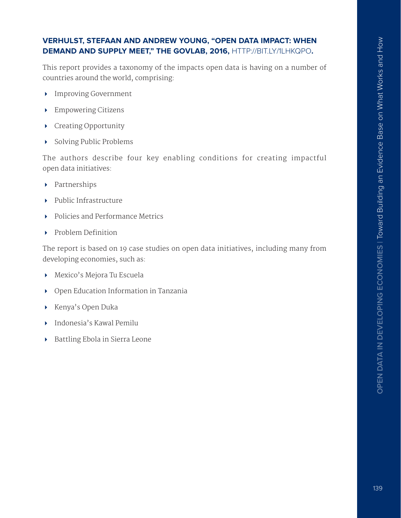#### **VERHULST, STEFAAN AND ANDREW YOUNG, "OPEN DATA IMPACT: WHEN DEMAND AND SUPPLY MEET," THE GOVLAB, 2016,** [HTTP://BIT.LY/1LHKQPO](http://bit.ly/1LHkQPO)**.**

This report provides a taxonomy of the impacts open data is having on a number of countries around the world, comprising:

- Improving Government
- Empowering Citizens
- Creating Opportunity
- Solving Public Problems

The authors describe four key enabling conditions for creating impactful open data initiatives:

- Partnerships
- Public Infrastructure
- ▶ Policies and Performance Metrics
- $\triangleright$  Problem Definition

The report is based on 19 case studies on open data initiatives, including many from developing economies, such as:

- Mexico's Mejora Tu Escuela
- Open Education Information in Tanzania
- ▶ Kenya's Open Duka
- Indonesia's Kawal Pemilu
- Battling Ebola in Sierra Leone